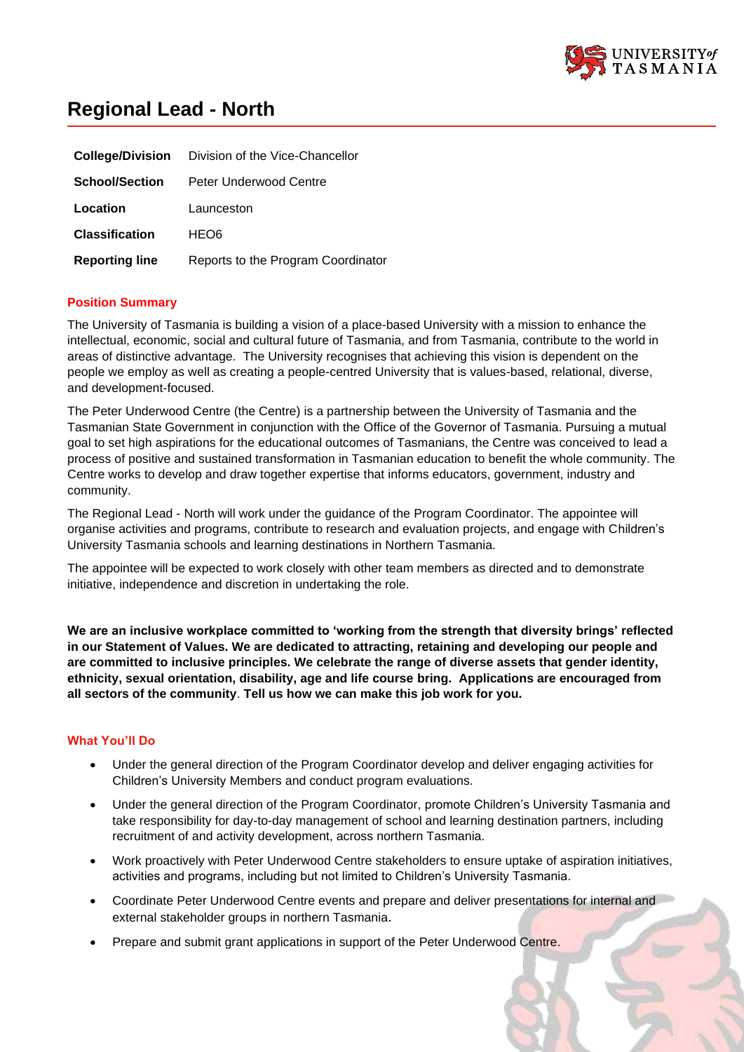

# **Regional Lead - North**

| <b>College/Division</b> | Division of the Vice-Chancellor    |
|-------------------------|------------------------------------|
| <b>School/Section</b>   | Peter Underwood Centre             |
| Location                | Launceston                         |
| <b>Classification</b>   | HEO6                               |
| <b>Reporting line</b>   | Reports to the Program Coordinator |

## **Position Summary**

The University of Tasmania is building a vision of a place-based University with a mission to enhance the intellectual, economic, social and cultural future of Tasmania, and from Tasmania, contribute to the world in areas of distinctive advantage. The University recognises that achieving this vision is dependent on the people we employ as well as creating a people-centred University that is values-based, relational, diverse, and development-focused.

The Peter Underwood Centre (the Centre) is a partnership between the University of Tasmania and the Tasmanian State Government in conjunction with the Office of the Governor of Tasmania. Pursuing a mutual goal to set high aspirations for the educational outcomes of Tasmanians, the Centre was conceived to lead a process of positive and sustained transformation in Tasmanian education to benefit the whole community. The Centre works to develop and draw together expertise that informs educators, government, industry and community.

The Regional Lead - North will work under the guidance of the Program Coordinator. The appointee will organise activities and programs, contribute to research and evaluation projects, and engage with Children's University Tasmania schools and learning destinations in Northern Tasmania.

The appointee will be expected to work closely with other team members as directed and to demonstrate initiative, independence and discretion in undertaking the role.

**We are an inclusive workplace committed to 'working from the strength that diversity brings' reflected in our Statement of Values. We are dedicated to attracting, retaining and developing our people and are committed to inclusive principles. We celebrate the range of diverse assets that gender identity, ethnicity, sexual orientation, disability, age and life course bring. Applications are encouraged from all sectors of the community**. **Tell us how we can make this job work for you.**

# **What You'll Do**

- Under the general direction of the Program Coordinator develop and deliver engaging activities for Children's University Members and conduct program evaluations.
- Under the general direction of the Program Coordinator, promote Children's University Tasmania and take responsibility for day-to-day management of school and learning destination partners, including recruitment of and activity development, across northern Tasmania.
- Work proactively with Peter Underwood Centre stakeholders to ensure uptake of aspiration initiatives, activities and programs, including but not limited to Children's University Tasmania.
- Coordinate Peter Underwood Centre events and prepare and deliver presentations for internal and external stakeholder groups in northern Tasmania.
- Prepare and submit grant applications in support of the Peter Underwood Centre.